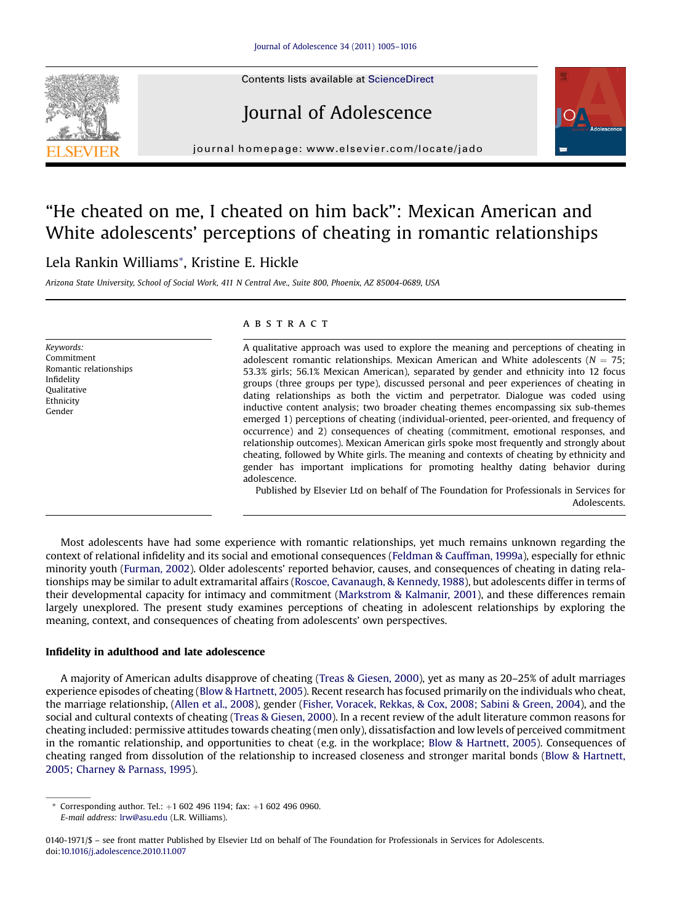Contents lists available at [ScienceDirect](www.sciencedirect.com/science/journal/01401971)





journal homepage: [www.elsevier.com/locate/jado](http://www.elsevier.com/locate/jado)

# "He cheated on me, I cheated on him back": Mexican American and White adolescents' perceptions of cheating in romantic relationships

## Lela Rankin Williams\*, Kristine E. Hickle

Arizona State University, School of Social Work, 411 N Central Ave., Suite 800, Phoenix, AZ 85004-0689, USA

Keywords: Commitment Romantic relationships Infidelity Qualitative Ethnicity Gender

#### **ABSTRACT**

A qualitative approach was used to explore the meaning and perceptions of cheating in adolescent romantic relationships. Mexican American and White adolescents ( $N = 75$ ; 53.3% girls; 56.1% Mexican American), separated by gender and ethnicity into 12 focus groups (three groups per type), discussed personal and peer experiences of cheating in dating relationships as both the victim and perpetrator. Dialogue was coded using inductive content analysis; two broader cheating themes encompassing six sub-themes emerged 1) perceptions of cheating (individual-oriented, peer-oriented, and frequency of occurrence) and 2) consequences of cheating (commitment, emotional responses, and relationship outcomes). Mexican American girls spoke most frequently and strongly about cheating, followed by White girls. The meaning and contexts of cheating by ethnicity and gender has important implications for promoting healthy dating behavior during adolescence.

Published by Elsevier Ltd on behalf of The Foundation for Professionals in Services for Adolescents.

Most adolescents have had some experience with romantic relationships, yet much remains unknown regarding the context of relational infidelity and its social and emotional consequences ([Feldman & Cauffman, 1999a\)](#page-10-0), especially for ethnic minority youth ([Furman, 2002\)](#page-10-0). Older adolescents' reported behavior, causes, and consequences of cheating in dating relationships may be similar to adult extramarital affairs [\(Roscoe, Cavanaugh, & Kennedy, 1988\)](#page-11-0), but adolescents differ in terms of their developmental capacity for intimacy and commitment ([Markstrom & Kalmanir, 2001\)](#page-10-0), and these differences remain largely unexplored. The present study examines perceptions of cheating in adolescent relationships by exploring the meaning, context, and consequences of cheating from adolescents' own perspectives.

#### Infidelity in adulthood and late adolescence

A majority of American adults disapprove of cheating ([Treas & Giesen, 2000\)](#page-11-0), yet as many as 20–25% of adult marriages experience episodes of cheating ([Blow & Hartnett, 2005\)](#page-10-0). Recent research has focused primarily on the individuals who cheat, the marriage relationship, ([Allen et al., 2008\)](#page-10-0), gender ([Fisher, Voracek, Rekkas, & Cox, 2008; Sabini & Green, 2004\)](#page-10-0), and the social and cultural contexts of cheating [\(Treas & Giesen, 2000\)](#page-11-0). In a recent review of the adult literature common reasons for cheating included: permissive attitudes towards cheating (men only), dissatisfaction and low levels of perceived commitment in the romantic relationship, and opportunities to cheat (e.g. in the workplace; [Blow & Hartnett, 2005\)](#page-10-0). Consequences of cheating ranged from dissolution of the relationship to increased closeness and stronger marital bonds ([Blow & Hartnett,](#page-10-0) [2005; Charney & Parnass, 1995](#page-10-0)).

<sup>\*</sup> Corresponding author. Tel.:  $+16024961194$ ; fax:  $+16024960960$ . E-mail address: [lrw@asu.edu](mailto:lrw@asu.edu) (L.R. Williams).

<sup>0140-1971/\$</sup> – see front matter Published by Elsevier Ltd on behalf of The Foundation for Professionals in Services for Adolescents. doi:[10.1016/j.adolescence.2010.11.007](http://dx.doi.org/10.1016/j.adolescence.2010.11.007)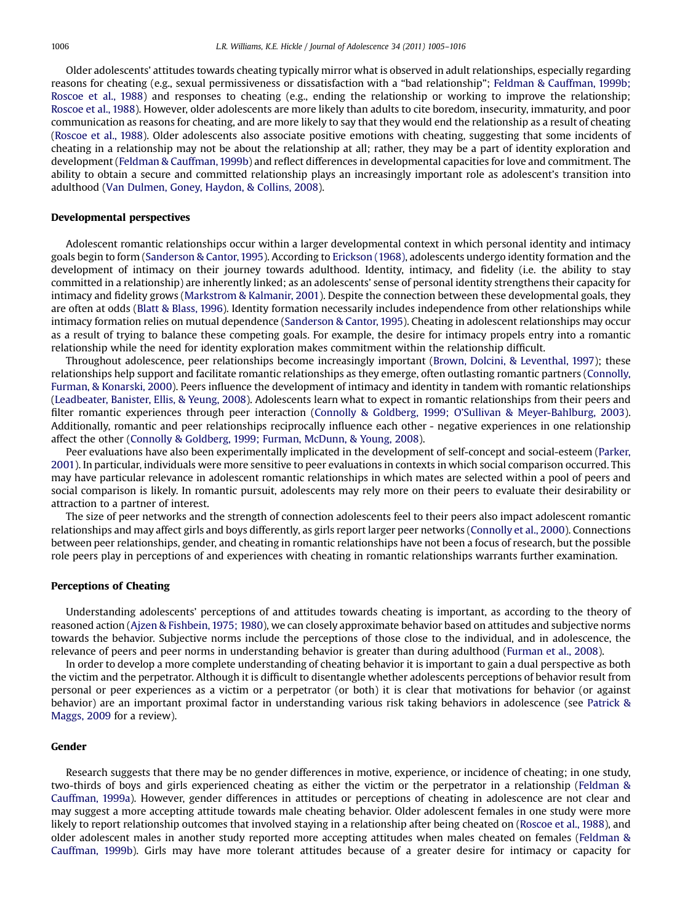Older adolescents' attitudes towards cheating typically mirror what is observed in adult relationships, especially regarding reasons for cheating (e.g., sexual permissiveness or dissatisfaction with a "bad relationship"; [Feldman & Cauffman, 1999b;](#page-10-0) [Roscoe et al., 1988](#page-10-0)) and responses to cheating (e.g., ending the relationship or working to improve the relationship; [Roscoe et al., 1988\)](#page-11-0). However, older adolescents are more likely than adults to cite boredom, insecurity, immaturity, and poor communication as reasons for cheating, and are more likely to say that they would end the relationship as a result of cheating [\(Roscoe et al., 1988\)](#page-11-0). Older adolescents also associate positive emotions with cheating, suggesting that some incidents of cheating in a relationship may not be about the relationship at all; rather, they may be a part of identity exploration and development ([Feldman & Cauffman, 1999b\)](#page-10-0) and reflect differences in developmental capacities for love and commitment. The ability to obtain a secure and committed relationship plays an increasingly important role as adolescent's transition into adulthood [\(Van Dulmen, Goney, Haydon, & Collins, 2008](#page-11-0)).

#### Developmental perspectives

Adolescent romantic relationships occur within a larger developmental context in which personal identity and intimacy goals begin to form [\(Sanderson & Cantor, 1995\)](#page-11-0). According to [Erickson \(1968\),](#page-10-0) adolescents undergo identity formation and the development of intimacy on their journey towards adulthood. Identity, intimacy, and fidelity (i.e. the ability to stay committed in a relationship) are inherently linked; as an adolescents' sense of personal identity strengthens their capacity for intimacy and fidelity grows [\(Markstrom & Kalmanir, 2001\)](#page-10-0). Despite the connection between these developmental goals, they are often at odds [\(Blatt & Blass, 1996](#page-10-0)). Identity formation necessarily includes independence from other relationships while intimacy formation relies on mutual dependence [\(Sanderson & Cantor, 1995](#page-11-0)). Cheating in adolescent relationships may occur as a result of trying to balance these competing goals. For example, the desire for intimacy propels entry into a romantic relationship while the need for identity exploration makes commitment within the relationship difficult.

Throughout adolescence, peer relationships become increasingly important ([Brown, Dolcini, & Leventhal, 1997](#page-10-0)); these relationships help support and facilitate romantic relationships as they emerge, often outlasting romantic partners [\(Connolly,](#page-10-0) [Furman, & Konarski, 2000](#page-10-0)). Peers influence the development of intimacy and identity in tandem with romantic relationships [\(Leadbeater, Banister, Ellis, & Yeung, 2008](#page-10-0)). Adolescents learn what to expect in romantic relationships from their peers and filter romantic experiences through peer interaction (Connolly & Goldberg, 1999; O'[Sullivan & Meyer-Bahlburg, 2003](#page-10-0)). Additionally, romantic and peer relationships reciprocally influence each other - negative experiences in one relationship affect the other ([Connolly & Goldberg, 1999; Furman, McDunn, & Young, 2008](#page-10-0)).

Peer evaluations have also been experimentally implicated in the development of self-concept and social-esteem ([Parker,](#page-11-0) [2001](#page-11-0)). In particular, individuals were more sensitive to peer evaluations in contexts in which social comparison occurred. This may have particular relevance in adolescent romantic relationships in which mates are selected within a pool of peers and social comparison is likely. In romantic pursuit, adolescents may rely more on their peers to evaluate their desirability or attraction to a partner of interest.

The size of peer networks and the strength of connection adolescents feel to their peers also impact adolescent romantic relationships and may affect girls and boys differently, as girls report larger peer networks ([Connolly et al., 2000](#page-10-0)). Connections between peer relationships, gender, and cheating in romantic relationships have not been a focus of research, but the possible role peers play in perceptions of and experiences with cheating in romantic relationships warrants further examination.

#### Perceptions of Cheating

Understanding adolescents' perceptions of and attitudes towards cheating is important, as according to the theory of reasoned action [\(Ajzen & Fishbein, 1975; 1980](#page-10-0)), we can closely approximate behavior based on attitudes and subjective norms towards the behavior. Subjective norms include the perceptions of those close to the individual, and in adolescence, the relevance of peers and peer norms in understanding behavior is greater than during adulthood ([Furman et al., 2008](#page-10-0)).

In order to develop a more complete understanding of cheating behavior it is important to gain a dual perspective as both the victim and the perpetrator. Although it is difficult to disentangle whether adolescents perceptions of behavior result from personal or peer experiences as a victim or a perpetrator (or both) it is clear that motivations for behavior (or against behavior) are an important proximal factor in understanding various risk taking behaviors in adolescence (see [Patrick &](#page-11-0) [Maggs, 2009](#page-11-0) for a review).

#### Gender

Research suggests that there may be no gender differences in motive, experience, or incidence of cheating; in one study, two-thirds of boys and girls experienced cheating as either the victim or the perpetrator in a relationship ([Feldman &](#page-10-0) [Cauffman, 1999a\)](#page-10-0). However, gender differences in attitudes or perceptions of cheating in adolescence are not clear and may suggest a more accepting attitude towards male cheating behavior. Older adolescent females in one study were more likely to report relationship outcomes that involved staying in a relationship after being cheated on [\(Roscoe et al., 1988](#page-11-0)), and older adolescent males in another study reported more accepting attitudes when males cheated on females ([Feldman &](#page-10-0) [Cauffman, 1999b\)](#page-10-0). Girls may have more tolerant attitudes because of a greater desire for intimacy or capacity for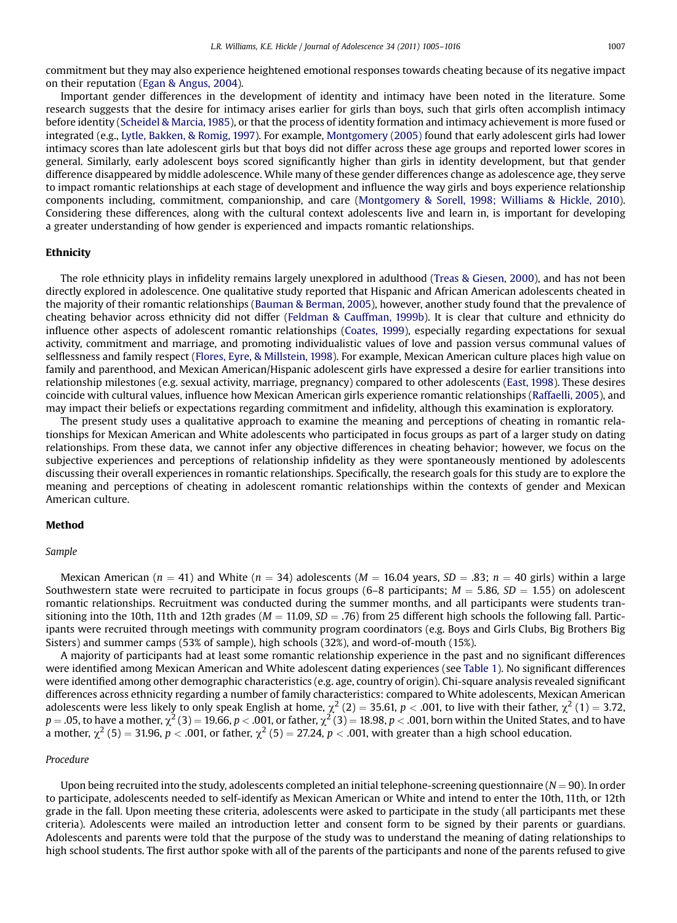Important gender differences in the development of identity and intimacy have been noted in the literature. Some research suggests that the desire for intimacy arises earlier for girls than boys, such that girls often accomplish intimacy before identity ([Scheidel & Marcia, 1985](#page-11-0)), or that the process of identity formation and intimacy achievement is more fused or integrated (e.g., [Lytle, Bakken, & Romig, 1997](#page-10-0)). For example, [Montgomery \(2005\)](#page-11-0) found that early adolescent girls had lower intimacy scores than late adolescent girls but that boys did not differ across these age groups and reported lower scores in general. Similarly, early adolescent boys scored significantly higher than girls in identity development, but that gender difference disappeared by middle adolescence. While many of these gender differences change as adolescence age, they serve to impact romantic relationships at each stage of development and influence the way girls and boys experience relationship components including, commitment, companionship, and care ([Montgomery & Sorell, 1998; Williams & Hickle, 2010](#page-11-0)). Considering these differences, along with the cultural context adolescents live and learn in, is important for developing a greater understanding of how gender is experienced and impacts romantic relationships.

#### Ethnicity

The role ethnicity plays in infidelity remains largely unexplored in adulthood [\(Treas & Giesen, 2000\)](#page-11-0), and has not been directly explored in adolescence. One qualitative study reported that Hispanic and African American adolescents cheated in the majority of their romantic relationships [\(Bauman & Berman, 2005\)](#page-10-0), however, another study found that the prevalence of cheating behavior across ethnicity did not differ ([Feldman & Cauffman, 1999b](#page-10-0)). It is clear that culture and ethnicity do influence other aspects of adolescent romantic relationships [\(Coates, 1999](#page-10-0)), especially regarding expectations for sexual activity, commitment and marriage, and promoting individualistic values of love and passion versus communal values of selflessness and family respect [\(Flores, Eyre, & Millstein, 1998\)](#page-10-0). For example, Mexican American culture places high value on family and parenthood, and Mexican American/Hispanic adolescent girls have expressed a desire for earlier transitions into relationship milestones (e.g. sexual activity, marriage, pregnancy) compared to other adolescents ([East, 1998](#page-10-0)). These desires coincide with cultural values, influence how Mexican American girls experience romantic relationships [\(Raffaelli, 2005](#page-11-0)), and may impact their beliefs or expectations regarding commitment and infidelity, although this examination is exploratory.

The present study uses a qualitative approach to examine the meaning and perceptions of cheating in romantic relationships for Mexican American and White adolescents who participated in focus groups as part of a larger study on dating relationships. From these data, we cannot infer any objective differences in cheating behavior; however, we focus on the subjective experiences and perceptions of relationship infidelity as they were spontaneously mentioned by adolescents discussing their overall experiences in romantic relationships. Specifically, the research goals for this study are to explore the meaning and perceptions of cheating in adolescent romantic relationships within the contexts of gender and Mexican American culture.

#### Method

#### Sample

Mexican American (n = 41) and White (n = 34) adolescents (M = 16.04 years, SD = .83; n = 40 girls) within a large Southwestern state were recruited to participate in focus groups (6–8 participants;  $M = 5.86$ ,  $SD = 1.55$ ) on adolescent romantic relationships. Recruitment was conducted during the summer months, and all participants were students transitioning into the 10th, 11th and 12th grades ( $M = 11.09$ ,  $SD = .76$ ) from 25 different high schools the following fall. Participants were recruited through meetings with community program coordinators (e.g. Boys and Girls Clubs, Big Brothers Big Sisters) and summer camps (53% of sample), high schools (32%), and word-of-mouth (15%).

A majority of participants had at least some romantic relationship experience in the past and no significant differences were identified among Mexican American and White adolescent dating experiences (see [Table 1](#page-3-0)). No significant differences were identified among other demographic characteristics (e.g. age, country of origin). Chi-square analysis revealed significant differences across ethnicity regarding a number of family characteristics: compared to White adolescents, Mexican American adolescents were less likely to only speak English at home,  $\chi^2$  (2) = 35.61, p < .001, to live with their father,  $\chi^2$  (1) = 3.72,  $p = .05$ , to have a mother,  $\chi^2$  (3)  $= 19.66, p < .001$ , or father,  $\chi^2$  (3)  $= 18.98, p < .001$ , born within the United States, and to have a mother,  $\chi^2$  (5) = 31.96, p < .001, or father,  $\chi^2$  (5) = 27.24, p < .001, with greater than a high school education.

#### Procedure

Upon being recruited into the study, adolescents completed an initial telephone-screening questionnaire ( $N = 90$ ). In order to participate, adolescents needed to self-identify as Mexican American or White and intend to enter the 10th, 11th, or 12th grade in the fall. Upon meeting these criteria, adolescents were asked to participate in the study (all participants met these criteria). Adolescents were mailed an introduction letter and consent form to be signed by their parents or guardians. Adolescents and parents were told that the purpose of the study was to understand the meaning of dating relationships to high school students. The first author spoke with all of the parents of the participants and none of the parents refused to give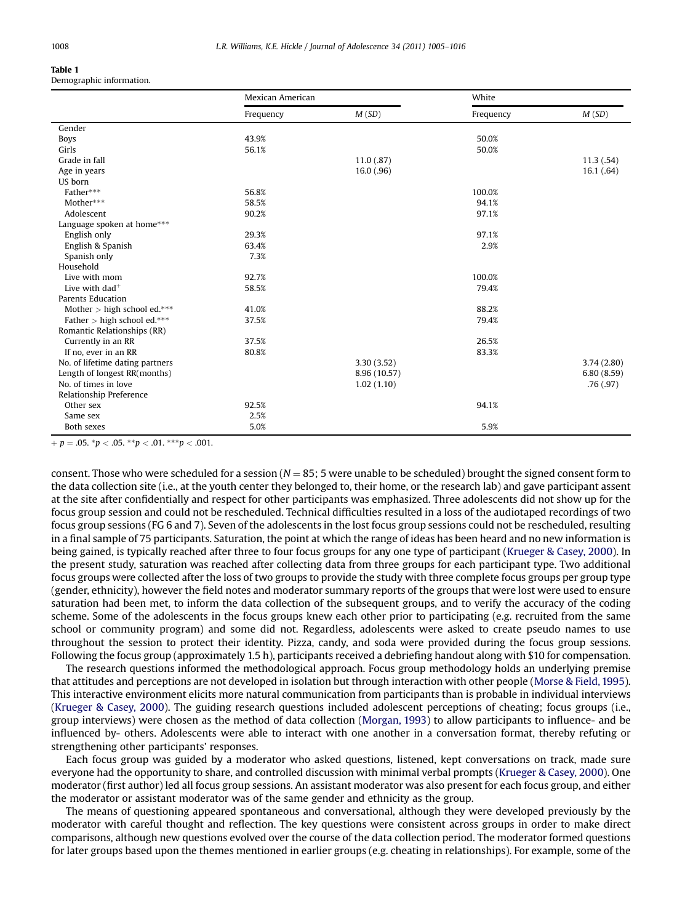### <span id="page-3-0"></span>Table 1

Demographic information.

|                                 | Mexican American |              | White     |            |
|---------------------------------|------------------|--------------|-----------|------------|
|                                 | Frequency        | M(SD)        | Frequency | M(SD)      |
| Gender                          |                  |              |           |            |
| Boys                            | 43.9%            |              | 50.0%     |            |
| Girls                           | 56.1%            |              | 50.0%     |            |
| Grade in fall                   |                  | 11.0(0.87)   |           | 11.3(.54)  |
| Age in years                    |                  | 16.0(.96)    |           | 16.1(.64)  |
| US born                         |                  |              |           |            |
| Father***                       | 56.8%            |              | 100.0%    |            |
| Mother***                       | 58.5%            |              | 94.1%     |            |
| Adolescent                      | 90.2%            |              | 97.1%     |            |
| Language spoken at home***      |                  |              |           |            |
| English only                    | 29.3%            |              | 97.1%     |            |
| English & Spanish               | 63.4%            |              | 2.9%      |            |
| Spanish only                    | 7.3%             |              |           |            |
| Household                       |                  |              |           |            |
| Live with mom                   | 92.7%            |              | 100.0%    |            |
| Live with dad $^+$              | 58.5%            |              | 79.4%     |            |
| <b>Parents Education</b>        |                  |              |           |            |
| Mother $>$ high school ed.***   | 41.0%            |              | 88.2%     |            |
| Father $>$ high school ed.***   | 37.5%            |              | 79.4%     |            |
| Romantic Relationships (RR)     |                  |              |           |            |
| Currently in an RR              | 37.5%            |              | 26.5%     |            |
| If no, ever in an RR            | 80.8%            |              | 83.3%     |            |
| No. of lifetime dating partners |                  | 3.30(3.52)   |           | 3.74(2.80) |
| Length of longest RR(months)    |                  | 8.96 (10.57) |           | 6.80(8.59) |
| No. of times in love            |                  | 1.02(1.10)   |           | .76(.97)   |
| Relationship Preference         |                  |              |           |            |
| Other sex                       | 92.5%            |              | 94.1%     |            |
| Same sex                        | 2.5%             |              |           |            |
| Both sexes                      | 5.0%             |              | 5.9%      |            |

 $p = .05.$  \* $p < .05.$  \*\* $p < .01.$  \*\*\* $p < .001.$ 

consent. Those who were scheduled for a session ( $N = 85$ ; 5 were unable to be scheduled) brought the signed consent form to the data collection site (i.e., at the youth center they belonged to, their home, or the research lab) and gave participant assent at the site after confidentially and respect for other participants was emphasized. Three adolescents did not show up for the focus group session and could not be rescheduled. Technical difficulties resulted in a loss of the audiotaped recordings of two focus group sessions (FG 6 and 7). Seven of the adolescents in the lost focus group sessions could not be rescheduled, resulting in a final sample of 75 participants. Saturation, the point at which the range of ideas has been heard and no new information is being gained, is typically reached after three to four focus groups for any one type of participant ([Krueger & Casey, 2000\)](#page-10-0). In the present study, saturation was reached after collecting data from three groups for each participant type. Two additional focus groups were collected after the loss of two groups to provide the study with three complete focus groups per group type (gender, ethnicity), however the field notes and moderator summary reports of the groups that were lost were used to ensure saturation had been met, to inform the data collection of the subsequent groups, and to verify the accuracy of the coding scheme. Some of the adolescents in the focus groups knew each other prior to participating (e.g. recruited from the same school or community program) and some did not. Regardless, adolescents were asked to create pseudo names to use throughout the session to protect their identity. Pizza, candy, and soda were provided during the focus group sessions. Following the focus group (approximately 1.5 h), participants received a debriefing handout along with \$10 for compensation.

The research questions informed the methodological approach. Focus group methodology holds an underlying premise that attitudes and perceptions are not developed in isolation but through interaction with other people ([Morse & Field, 1995](#page-11-0)). This interactive environment elicits more natural communication from participants than is probable in individual interviews [\(Krueger & Casey, 2000](#page-10-0)). The guiding research questions included adolescent perceptions of cheating; focus groups (i.e., group interviews) were chosen as the method of data collection [\(Morgan, 1993](#page-11-0)) to allow participants to influence- and be influenced by- others. Adolescents were able to interact with one another in a conversation format, thereby refuting or strengthening other participants' responses.

Each focus group was guided by a moderator who asked questions, listened, kept conversations on track, made sure everyone had the opportunity to share, and controlled discussion with minimal verbal prompts [\(Krueger & Casey, 2000](#page-10-0)). One moderator (first author) led all focus group sessions. An assistant moderator was also present for each focus group, and either the moderator or assistant moderator was of the same gender and ethnicity as the group.

The means of questioning appeared spontaneous and conversational, although they were developed previously by the moderator with careful thought and reflection. The key questions were consistent across groups in order to make direct comparisons, although new questions evolved over the course of the data collection period. The moderator formed questions for later groups based upon the themes mentioned in earlier groups (e.g. cheating in relationships). For example, some of the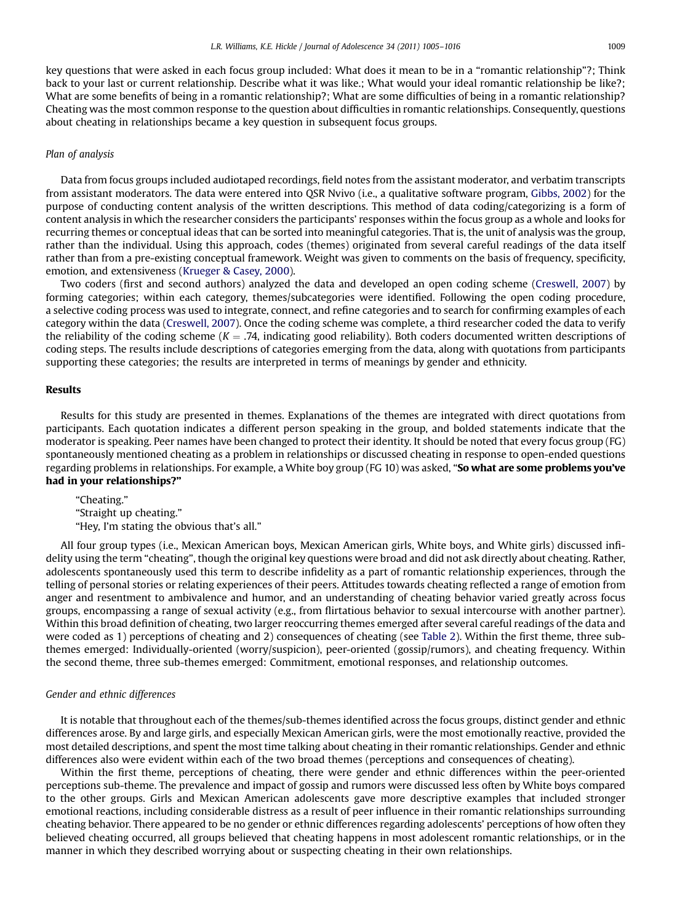key questions that were asked in each focus group included: What does it mean to be in a "romantic relationship"?; Think back to your last or current relationship. Describe what it was like.; What would your ideal romantic relationship be like?; What are some benefits of being in a romantic relationship?; What are some difficulties of being in a romantic relationship? Cheating was the most common response to the question about difficulties in romantic relationships. Consequently, questions about cheating in relationships became a key question in subsequent focus groups.

#### Plan of analysis

Data from focus groups included audiotaped recordings, field notes from the assistant moderator, and verbatim transcripts from assistant moderators. The data were entered into QSR Nvivo (i.e., a qualitative software program, [Gibbs, 2002](#page-10-0)) for the purpose of conducting content analysis of the written descriptions. This method of data coding/categorizing is a form of content analysis in which the researcher considers the participants' responses within the focus group as a whole and looks for recurring themes or conceptual ideas that can be sorted into meaningful categories. That is, the unit of analysis was the group, rather than the individual. Using this approach, codes (themes) originated from several careful readings of the data itself rather than from a pre-existing conceptual framework. Weight was given to comments on the basis of frequency, specificity, emotion, and extensiveness [\(Krueger & Casey, 2000\)](#page-10-0).

Two coders (first and second authors) analyzed the data and developed an open coding scheme ([Creswell, 2007\)](#page-10-0) by forming categories; within each category, themes/subcategories were identified. Following the open coding procedure, a selective coding process was used to integrate, connect, and refine categories and to search for confirming examples of each category within the data [\(Creswell, 2007](#page-10-0)). Once the coding scheme was complete, a third researcher coded the data to verify the reliability of the coding scheme ( $K = .74$ , indicating good reliability). Both coders documented written descriptions of coding steps. The results include descriptions of categories emerging from the data, along with quotations from participants supporting these categories; the results are interpreted in terms of meanings by gender and ethnicity.

#### Results

Results for this study are presented in themes. Explanations of the themes are integrated with direct quotations from participants. Each quotation indicates a different person speaking in the group, and bolded statements indicate that the moderator is speaking. Peer names have been changed to protect their identity. It should be noted that every focus group (FG) spontaneously mentioned cheating as a problem in relationships or discussed cheating in response to open-ended questions regarding problems in relationships. For example, a White boy group (FG 10) was asked, "So what are some problems you've had in your relationships?"

"Cheating." "Straight up cheating." "Hey, I'm stating the obvious that's all."

All four group types (i.e., Mexican American boys, Mexican American girls, White boys, and White girls) discussed infidelity using the term "cheating", though the original key questions were broad and did not ask directly about cheating. Rather, adolescents spontaneously used this term to describe infidelity as a part of romantic relationship experiences, through the telling of personal stories or relating experiences of their peers. Attitudes towards cheating reflected a range of emotion from anger and resentment to ambivalence and humor, and an understanding of cheating behavior varied greatly across focus groups, encompassing a range of sexual activity (e.g., from flirtatious behavior to sexual intercourse with another partner). Within this broad definition of cheating, two larger reoccurring themes emerged after several careful readings of the data and were coded as 1) perceptions of cheating and 2) consequences of cheating (see [Table 2\)](#page-5-0). Within the first theme, three subthemes emerged: Individually-oriented (worry/suspicion), peer-oriented (gossip/rumors), and cheating frequency. Within the second theme, three sub-themes emerged: Commitment, emotional responses, and relationship outcomes.

#### Gender and ethnic differences

It is notable that throughout each of the themes/sub-themes identified across the focus groups, distinct gender and ethnic differences arose. By and large girls, and especially Mexican American girls, were the most emotionally reactive, provided the most detailed descriptions, and spent the most time talking about cheating in their romantic relationships. Gender and ethnic differences also were evident within each of the two broad themes (perceptions and consequences of cheating).

Within the first theme, perceptions of cheating, there were gender and ethnic differences within the peer-oriented perceptions sub-theme. The prevalence and impact of gossip and rumors were discussed less often by White boys compared to the other groups. Girls and Mexican American adolescents gave more descriptive examples that included stronger emotional reactions, including considerable distress as a result of peer influence in their romantic relationships surrounding cheating behavior. There appeared to be no gender or ethnic differences regarding adolescents' perceptions of how often they believed cheating occurred, all groups believed that cheating happens in most adolescent romantic relationships, or in the manner in which they described worrying about or suspecting cheating in their own relationships.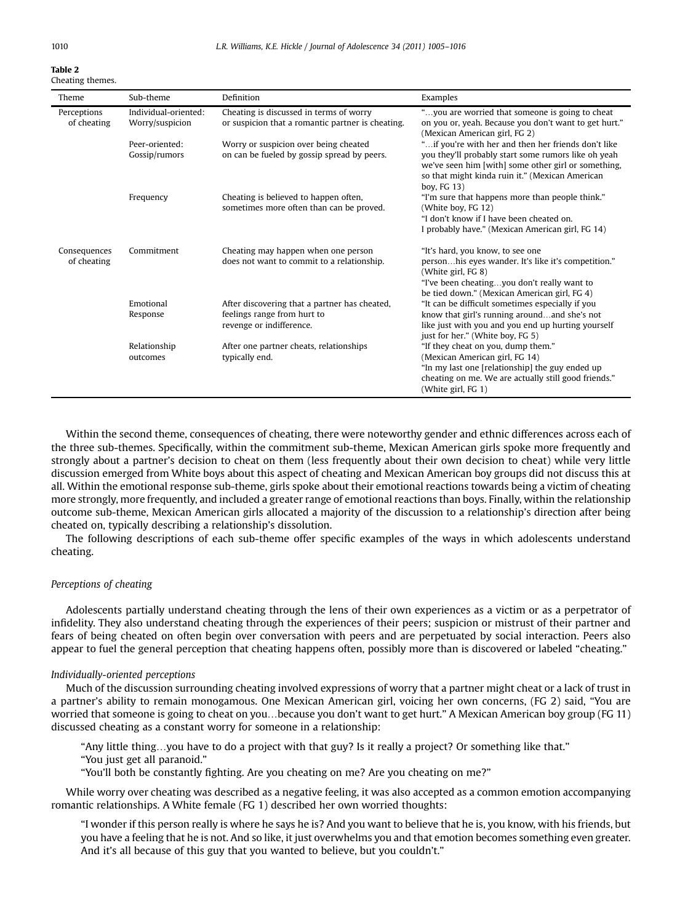<span id="page-5-0"></span>Table 2 Cheating themes.

| Theme                       | Sub-theme                               | Definition                                                                                               | Examples                                                                                                                                                                                                                            |
|-----------------------------|-----------------------------------------|----------------------------------------------------------------------------------------------------------|-------------------------------------------------------------------------------------------------------------------------------------------------------------------------------------------------------------------------------------|
| Perceptions<br>of cheating  | Individual-oriented:<br>Worry/suspicion | Cheating is discussed in terms of worry<br>or suspicion that a romantic partner is cheating.             | "you are worried that someone is going to cheat<br>on you or, yeah. Because you don't want to get hurt."<br>(Mexican American girl, FG 2)                                                                                           |
|                             | Peer-oriented:<br>Gossip/rumors         | Worry or suspicion over being cheated<br>on can be fueled by gossip spread by peers.                     | "if you're with her and then her friends don't like<br>you they'll probably start some rumors like oh yeah<br>we've seen him [with] some other girl or something,<br>so that might kinda ruin it." (Mexican American<br>boy, FG 13) |
|                             | Frequency                               | Cheating is believed to happen often,<br>sometimes more often than can be proved.                        | "I'm sure that happens more than people think."<br>(White boy, FG 12)<br>"I don't know if I have been cheated on.<br>I probably have." (Mexican American girl, FG 14)                                                               |
| Consequences<br>of cheating | Commitment                              | Cheating may happen when one person<br>does not want to commit to a relationship.                        | "It's hard, you know, to see one<br>personhis eyes wander. It's like it's competition."<br>(White girl, FG 8)<br>"I've been cheatingyou don't really want to<br>be tied down." (Mexican American girl, FG 4)                        |
|                             | Emotional<br>Response                   | After discovering that a partner has cheated,<br>feelings range from hurt to<br>revenge or indifference. | "It can be difficult sometimes especially if you<br>know that girl's running aroundand she's not<br>like just with you and you end up hurting yourself<br>just for her." (White boy, FG 5)                                          |
|                             | Relationship<br>outcomes                | After one partner cheats, relationships<br>typically end.                                                | "If they cheat on you, dump them."<br>(Mexican American girl, FG 14)<br>"In my last one [relationship] the guy ended up<br>cheating on me. We are actually still good friends."<br>(White girl, FG 1)                               |

Within the second theme, consequences of cheating, there were noteworthy gender and ethnic differences across each of the three sub-themes. Specifically, within the commitment sub-theme, Mexican American girls spoke more frequently and strongly about a partner's decision to cheat on them (less frequently about their own decision to cheat) while very little discussion emerged from White boys about this aspect of cheating and Mexican American boy groups did not discuss this at all. Within the emotional response sub-theme, girls spoke about their emotional reactions towards being a victim of cheating more strongly, more frequently, and included a greater range of emotional reactions than boys. Finally, within the relationship outcome sub-theme, Mexican American girls allocated a majority of the discussion to a relationship's direction after being cheated on, typically describing a relationship's dissolution.

The following descriptions of each sub-theme offer specific examples of the ways in which adolescents understand cheating.

#### Perceptions of cheating

Adolescents partially understand cheating through the lens of their own experiences as a victim or as a perpetrator of infidelity. They also understand cheating through the experiences of their peers; suspicion or mistrust of their partner and fears of being cheated on often begin over conversation with peers and are perpetuated by social interaction. Peers also appear to fuel the general perception that cheating happens often, possibly more than is discovered or labeled "cheating."

#### Individually-oriented perceptions

Much of the discussion surrounding cheating involved expressions of worry that a partner might cheat or a lack of trust in a partner's ability to remain monogamous. One Mexican American girl, voicing her own concerns, (FG 2) said, "You are worried that someone is going to cheat on you...because you don't want to get hurt." A Mexican American boy group (FG 11) discussed cheating as a constant worry for someone in a relationship:

"Any little thing...you have to do a project with that guy? Is it really a project? Or something like that." "You just get all paranoid."

"You'll both be constantly fighting. Are you cheating on me? Are you cheating on me?"

While worry over cheating was described as a negative feeling, it was also accepted as a common emotion accompanying romantic relationships. A White female (FG 1) described her own worried thoughts:

"I wonder if this person really is where he says he is? And you want to believe that he is, you know, with his friends, but you have a feeling that he is not. And so like, it just overwhelms you and that emotion becomes something even greater. And it's all because of this guy that you wanted to believe, but you couldn't."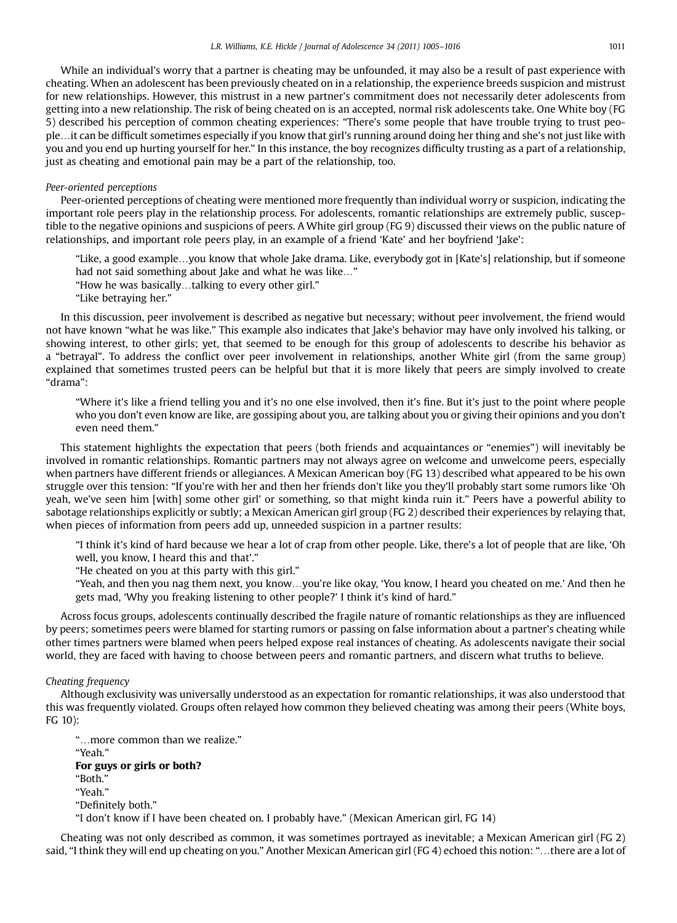While an individual's worry that a partner is cheating may be unfounded, it may also be a result of past experience with cheating. When an adolescent has been previously cheated on in a relationship, the experience breeds suspicion and mistrust for new relationships. However, this mistrust in a new partner's commitment does not necessarily deter adolescents from getting into a new relationship. The risk of being cheated on is an accepted, normal risk adolescents take. One White boy (FG 5) described his perception of common cheating experiences: "There's some people that have trouble trying to trust people.it can be difficult sometimes especially if you know that girl's running around doing her thing and she's not just like with you and you end up hurting yourself for her." In this instance, the boy recognizes difficulty trusting as a part of a relationship, just as cheating and emotional pain may be a part of the relationship, too.

#### Peer-oriented perceptions

Peer-oriented perceptions of cheating were mentioned more frequently than individual worry or suspicion, indicating the important role peers play in the relationship process. For adolescents, romantic relationships are extremely public, susceptible to the negative opinions and suspicions of peers. A White girl group (FG 9) discussed their views on the public nature of relationships, and important role peers play, in an example of a friend 'Kate' and her boyfriend 'Jake':

"Like, a good example...you know that whole Jake drama. Like, everybody got in [Kate's] relationship, but if someone had not said something about Jake and what he was like..."

"How he was basically...talking to every other girl."

"Like betraying her."

In this discussion, peer involvement is described as negative but necessary; without peer involvement, the friend would not have known "what he was like." This example also indicates that Jake's behavior may have only involved his talking, or showing interest, to other girls; yet, that seemed to be enough for this group of adolescents to describe his behavior as a "betrayal". To address the conflict over peer involvement in relationships, another White girl (from the same group) explained that sometimes trusted peers can be helpful but that it is more likely that peers are simply involved to create "drama":

"Where it's like a friend telling you and it's no one else involved, then it's fine. But it's just to the point where people who you don't even know are like, are gossiping about you, are talking about you or giving their opinions and you don't even need them."

This statement highlights the expectation that peers (both friends and acquaintances or "enemies") will inevitably be involved in romantic relationships. Romantic partners may not always agree on welcome and unwelcome peers, especially when partners have different friends or allegiances. A Mexican American boy (FG 13) described what appeared to be his own struggle over this tension: "If you're with her and then her friends don't like you they'll probably start some rumors like 'Oh yeah, we've seen him [with] some other girl' or something, so that might kinda ruin it." Peers have a powerful ability to sabotage relationships explicitly or subtly; a Mexican American girl group (FG 2) described their experiences by relaying that, when pieces of information from peers add up, unneeded suspicion in a partner results:

"I think it's kind of hard because we hear a lot of crap from other people. Like, there's a lot of people that are like, 'Oh well, you know, I heard this and that'."

"He cheated on you at this party with this girl."

"Yeah, and then you nag them next, you know...you're like okay, 'You know, I heard you cheated on me.' And then he gets mad, 'Why you freaking listening to other people?' I think it's kind of hard."

Across focus groups, adolescents continually described the fragile nature of romantic relationships as they are influenced by peers; sometimes peers were blamed for starting rumors or passing on false information about a partner's cheating while other times partners were blamed when peers helped expose real instances of cheating. As adolescents navigate their social world, they are faced with having to choose between peers and romantic partners, and discern what truths to believe.

#### Cheating frequency

Although exclusivity was universally understood as an expectation for romantic relationships, it was also understood that this was frequently violated. Groups often relayed how common they believed cheating was among their peers (White boys, FG 10):

".more common than we realize." "Yeah." For guys or girls or both? "Both." "Yeah." "Definitely both." "I don't know if I have been cheated on. I probably have." (Mexican American girl, FG 14)

Cheating was not only described as common, it was sometimes portrayed as inevitable; a Mexican American girl (FG 2) said, "I think they will end up cheating on you." Another Mexican American girl (FG 4) echoed this notion: "...there are a lot of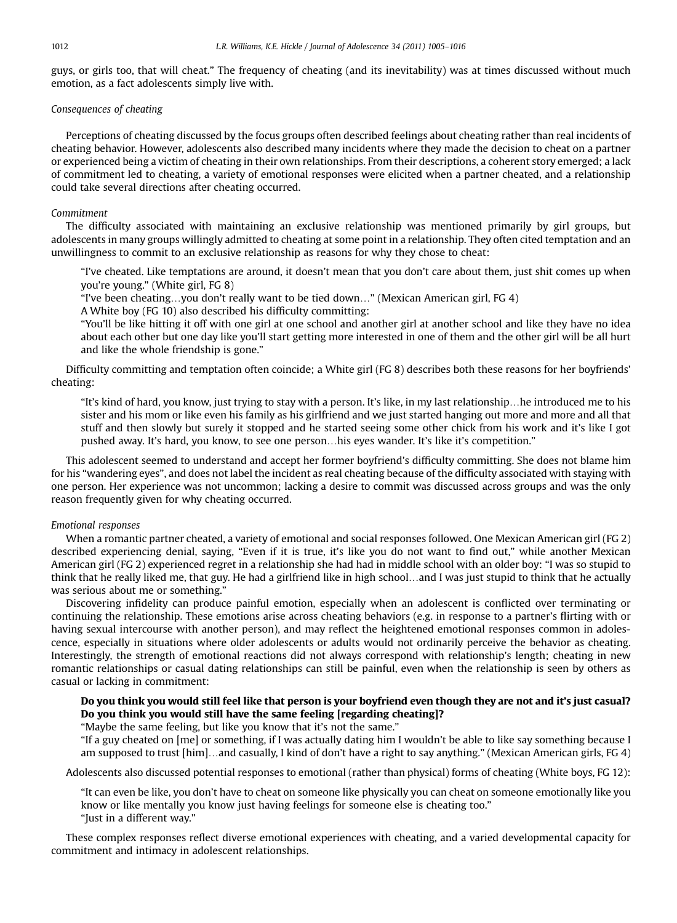guys, or girls too, that will cheat." The frequency of cheating (and its inevitability) was at times discussed without much emotion, as a fact adolescents simply live with.

#### Consequences of cheating

Perceptions of cheating discussed by the focus groups often described feelings about cheating rather than real incidents of cheating behavior. However, adolescents also described many incidents where they made the decision to cheat on a partner or experienced being a victim of cheating in their own relationships. From their descriptions, a coherent story emerged; a lack of commitment led to cheating, a variety of emotional responses were elicited when a partner cheated, and a relationship could take several directions after cheating occurred.

#### Commitment

The difficulty associated with maintaining an exclusive relationship was mentioned primarily by girl groups, but adolescents in many groups willingly admitted to cheating at some point in a relationship. They often cited temptation and an unwillingness to commit to an exclusive relationship as reasons for why they chose to cheat:

"I've cheated. Like temptations are around, it doesn't mean that you don't care about them, just shit comes up when you're young." (White girl, FG 8)

"I've been cheating...you don't really want to be tied down..." (Mexican American girl, FG 4)

A White boy (FG 10) also described his difficulty committing:

"You'll be like hitting it off with one girl at one school and another girl at another school and like they have no idea about each other but one day like you'll start getting more interested in one of them and the other girl will be all hurt and like the whole friendship is gone."

Difficulty committing and temptation often coincide; a White girl (FG 8) describes both these reasons for her boyfriends' cheating:

"It's kind of hard, you know, just trying to stay with a person. It's like, in my last relationship...he introduced me to his sister and his mom or like even his family as his girlfriend and we just started hanging out more and more and all that stuff and then slowly but surely it stopped and he started seeing some other chick from his work and it's like I got pushed away. It's hard, you know, to see one person...his eyes wander. It's like it's competition."

This adolescent seemed to understand and accept her former boyfriend's difficulty committing. She does not blame him for his "wandering eyes", and does not label the incident as real cheating because of the difficulty associated with staying with one person. Her experience was not uncommon; lacking a desire to commit was discussed across groups and was the only reason frequently given for why cheating occurred.

#### Emotional responses

When a romantic partner cheated, a variety of emotional and social responses followed. One Mexican American girl (FG 2) described experiencing denial, saying, "Even if it is true, it's like you do not want to find out," while another Mexican American girl (FG 2) experienced regret in a relationship she had had in middle school with an older boy: "I was so stupid to think that he really liked me, that guy. He had a girlfriend like in high school...and I was just stupid to think that he actually was serious about me or something."

Discovering infidelity can produce painful emotion, especially when an adolescent is conflicted over terminating or continuing the relationship. These emotions arise across cheating behaviors (e.g. in response to a partner's flirting with or having sexual intercourse with another person), and may reflect the heightened emotional responses common in adolescence, especially in situations where older adolescents or adults would not ordinarily perceive the behavior as cheating. Interestingly, the strength of emotional reactions did not always correspond with relationship's length; cheating in new romantic relationships or casual dating relationships can still be painful, even when the relationship is seen by others as casual or lacking in commitment:

#### Do you think you would still feel like that person is your boyfriend even though they are not and it's just casual? Do you think you would still have the same feeling [regarding cheating]?

"Maybe the same feeling, but like you know that it's not the same."

"If a guy cheated on [me] or something, if I was actually dating him I wouldn't be able to like say something because I am supposed to trust  $[\text{him}]$ ...and casually, I kind of don't have a right to say anything." (Mexican American girls, FG 4)

Adolescents also discussed potential responses to emotional (rather than physical) forms of cheating (White boys, FG 12):

"It can even be like, you don't have to cheat on someone like physically you can cheat on someone emotionally like you know or like mentally you know just having feelings for someone else is cheating too." "Just in a different way."

These complex responses reflect diverse emotional experiences with cheating, and a varied developmental capacity for commitment and intimacy in adolescent relationships.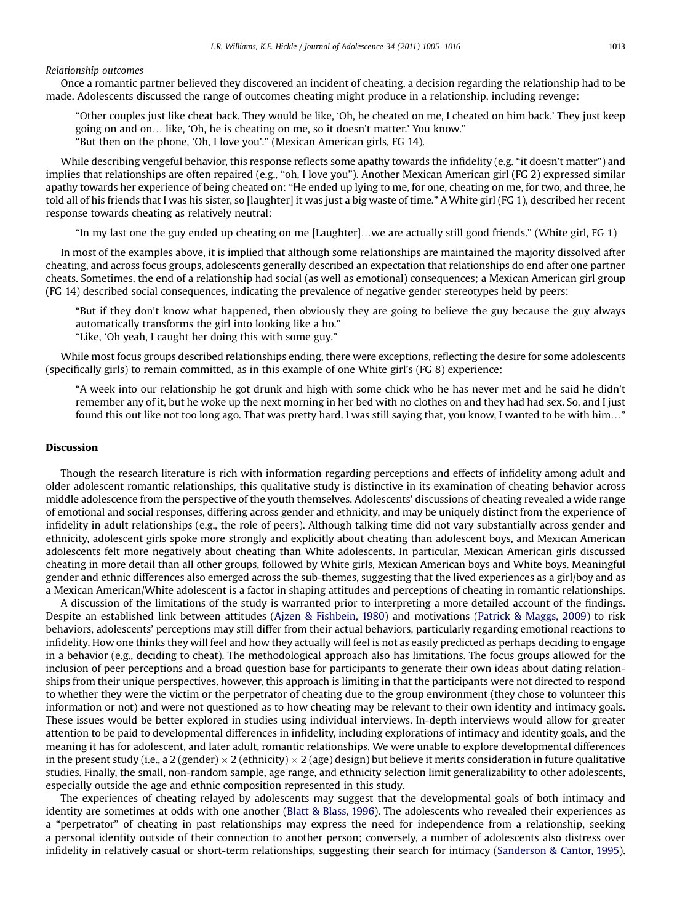#### Relationship outcomes

Once a romantic partner believed they discovered an incident of cheating, a decision regarding the relationship had to be made. Adolescents discussed the range of outcomes cheating might produce in a relationship, including revenge:

"Other couples just like cheat back. They would be like, 'Oh, he cheated on me, I cheated on him back.' They just keep going on and on. like, 'Oh, he is cheating on me, so it doesn't matter.' You know." "But then on the phone, 'Oh, I love you'." (Mexican American girls, FG 14).

While describing vengeful behavior, this response reflects some apathy towards the infidelity (e.g. "it doesn't matter") and implies that relationships are often repaired (e.g., "oh, I love you"). Another Mexican American girl (FG 2) expressed similar apathy towards her experience of being cheated on: "He ended up lying to me, for one, cheating on me, for two, and three, he told all of his friends that I was his sister, so [laughter] it was just a big waste of time." AWhite girl (FG 1), described her recent response towards cheating as relatively neutral:

"In my last one the guy ended up cheating on me [Laughter]...we are actually still good friends." (White girl, FG 1)

In most of the examples above, it is implied that although some relationships are maintained the majority dissolved after cheating, and across focus groups, adolescents generally described an expectation that relationships do end after one partner cheats. Sometimes, the end of a relationship had social (as well as emotional) consequences; a Mexican American girl group (FG 14) described social consequences, indicating the prevalence of negative gender stereotypes held by peers:

"But if they don't know what happened, then obviously they are going to believe the guy because the guy always automatically transforms the girl into looking like a ho."

"Like, 'Oh yeah, I caught her doing this with some guy."

While most focus groups described relationships ending, there were exceptions, reflecting the desire for some adolescents (specifically girls) to remain committed, as in this example of one White girl's (FG 8) experience:

"A week into our relationship he got drunk and high with some chick who he has never met and he said he didn't remember any of it, but he woke up the next morning in her bed with no clothes on and they had had sex. So, and I just found this out like not too long ago. That was pretty hard. I was still saying that, you know, I wanted to be with him..."

#### Discussion

Though the research literature is rich with information regarding perceptions and effects of infidelity among adult and older adolescent romantic relationships, this qualitative study is distinctive in its examination of cheating behavior across middle adolescence from the perspective of the youth themselves. Adolescents' discussions of cheating revealed a wide range of emotional and social responses, differing across gender and ethnicity, and may be uniquely distinct from the experience of infidelity in adult relationships (e.g., the role of peers). Although talking time did not vary substantially across gender and ethnicity, adolescent girls spoke more strongly and explicitly about cheating than adolescent boys, and Mexican American adolescents felt more negatively about cheating than White adolescents. In particular, Mexican American girls discussed cheating in more detail than all other groups, followed by White girls, Mexican American boys and White boys. Meaningful gender and ethnic differences also emerged across the sub-themes, suggesting that the lived experiences as a girl/boy and as a Mexican American/White adolescent is a factor in shaping attitudes and perceptions of cheating in romantic relationships.

A discussion of the limitations of the study is warranted prior to interpreting a more detailed account of the findings. Despite an established link between attitudes ([Ajzen & Fishbein, 1980](#page-10-0)) and motivations [\(Patrick & Maggs, 2009\)](#page-11-0) to risk behaviors, adolescents' perceptions may still differ from their actual behaviors, particularly regarding emotional reactions to infidelity. How one thinks they will feel and how they actually will feel is not as easily predicted as perhaps deciding to engage in a behavior (e.g., deciding to cheat). The methodological approach also has limitations. The focus groups allowed for the inclusion of peer perceptions and a broad question base for participants to generate their own ideas about dating relationships from their unique perspectives, however, this approach is limiting in that the participants were not directed to respond to whether they were the victim or the perpetrator of cheating due to the group environment (they chose to volunteer this information or not) and were not questioned as to how cheating may be relevant to their own identity and intimacy goals. These issues would be better explored in studies using individual interviews. In-depth interviews would allow for greater attention to be paid to developmental differences in infidelity, including explorations of intimacy and identity goals, and the meaning it has for adolescent, and later adult, romantic relationships. We were unable to explore developmental differences in the present study (i.e., a 2 (gender)  $\times$  2 (ethnicity)  $\times$  2 (age) design) but believe it merits consideration in future qualitative studies. Finally, the small, non-random sample, age range, and ethnicity selection limit generalizability to other adolescents, especially outside the age and ethnic composition represented in this study.

The experiences of cheating relayed by adolescents may suggest that the developmental goals of both intimacy and identity are sometimes at odds with one another ([Blatt & Blass, 1996](#page-10-0)). The adolescents who revealed their experiences as a "perpetrator" of cheating in past relationships may express the need for independence from a relationship, seeking a personal identity outside of their connection to another person; conversely, a number of adolescents also distress over infidelity in relatively casual or short-term relationships, suggesting their search for intimacy [\(Sanderson & Cantor, 1995](#page-11-0)).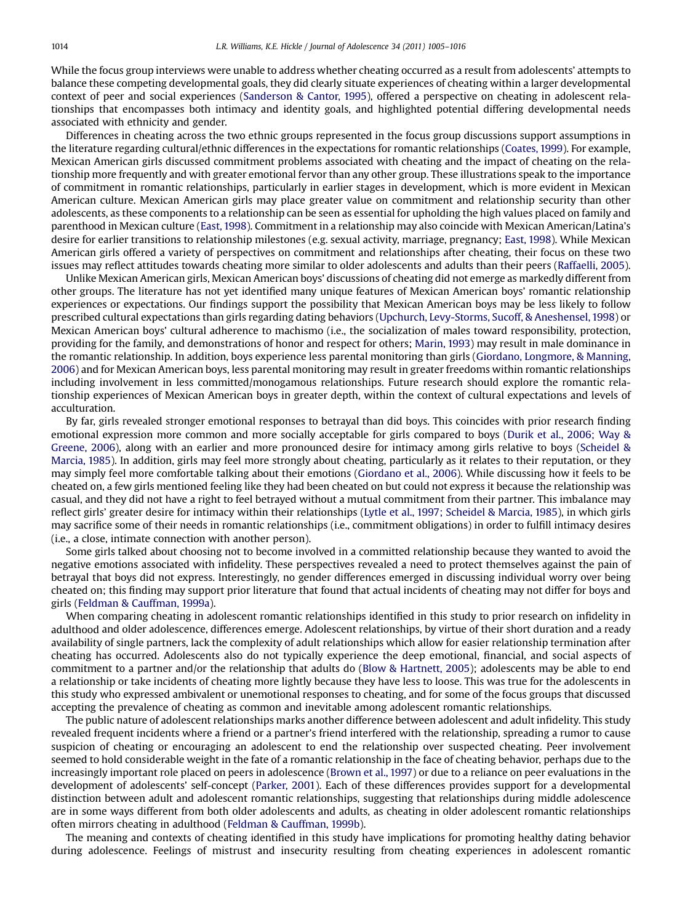While the focus group interviews were unable to address whether cheating occurred as a result from adolescents' attempts to balance these competing developmental goals, they did clearly situate experiences of cheating within a larger developmental context of peer and social experiences ([Sanderson & Cantor, 1995\)](#page-11-0), offered a perspective on cheating in adolescent relationships that encompasses both intimacy and identity goals, and highlighted potential differing developmental needs associated with ethnicity and gender.

Differences in cheating across the two ethnic groups represented in the focus group discussions support assumptions in the literature regarding cultural/ethnic differences in the expectations for romantic relationships [\(Coates, 1999\)](#page-10-0). For example, Mexican American girls discussed commitment problems associated with cheating and the impact of cheating on the relationship more frequently and with greater emotional fervor than any other group. These illustrations speak to the importance of commitment in romantic relationships, particularly in earlier stages in development, which is more evident in Mexican American culture. Mexican American girls may place greater value on commitment and relationship security than other adolescents, as these components to a relationship can be seen as essential for upholding the high values placed on family and parenthood in Mexican culture [\(East, 1998](#page-10-0)). Commitment in a relationship may also coincide with Mexican American/Latina's desire for earlier transitions to relationship milestones (e.g. sexual activity, marriage, pregnancy; [East, 1998](#page-10-0)). While Mexican American girls offered a variety of perspectives on commitment and relationships after cheating, their focus on these two issues may reflect attitudes towards cheating more similar to older adolescents and adults than their peers ([Raffaelli, 2005](#page-11-0)).

Unlike Mexican American girls, Mexican American boys' discussions of cheating did not emerge as markedly different from other groups. The literature has not yet identified many unique features of Mexican American boys' romantic relationship experiences or expectations. Our findings support the possibility that Mexican American boys may be less likely to follow prescribed cultural expectations than girls regarding dating behaviors [\(Upchurch, Levy-Storms, Sucoff, & Aneshensel, 1998\)](#page-11-0) or Mexican American boys' cultural adherence to machismo (i.e., the socialization of males toward responsibility, protection, providing for the family, and demonstrations of honor and respect for others; [Marin, 1993](#page-10-0)) may result in male dominance in the romantic relationship. In addition, boys experience less parental monitoring than girls [\(Giordano, Longmore, & Manning,](#page-10-0) [2006](#page-10-0)) and for Mexican American boys, less parental monitoring may result in greater freedoms within romantic relationships including involvement in less committed/monogamous relationships. Future research should explore the romantic relationship experiences of Mexican American boys in greater depth, within the context of cultural expectations and levels of acculturation.

By far, girls revealed stronger emotional responses to betrayal than did boys. This coincides with prior research finding emotional expression more common and more socially acceptable for girls compared to boys [\(Durik et al., 2006; Way &](#page-10-0) [Greene, 2006\)](#page-10-0), along with an earlier and more pronounced desire for intimacy among girls relative to boys ([Scheidel &](#page-11-0) [Marcia, 1985](#page-11-0)). In addition, girls may feel more strongly about cheating, particularly as it relates to their reputation, or they may simply feel more comfortable talking about their emotions ([Giordano et al., 2006](#page-10-0)). While discussing how it feels to be cheated on, a few girls mentioned feeling like they had been cheated on but could not express it because the relationship was casual, and they did not have a right to feel betrayed without a mutual commitment from their partner. This imbalance may reflect girls' greater desire for intimacy within their relationships ([Lytle et al., 1997; Scheidel & Marcia, 1985\)](#page-10-0), in which girls may sacrifice some of their needs in romantic relationships (i.e., commitment obligations) in order to fulfill intimacy desires (i.e., a close, intimate connection with another person).

Some girls talked about choosing not to become involved in a committed relationship because they wanted to avoid the negative emotions associated with infidelity. These perspectives revealed a need to protect themselves against the pain of betrayal that boys did not express. Interestingly, no gender differences emerged in discussing individual worry over being cheated on; this finding may support prior literature that found that actual incidents of cheating may not differ for boys and girls ([Feldman & Cauffman, 1999a\)](#page-10-0).

When comparing cheating in adolescent romantic relationships identified in this study to prior research on infidelity in adulthood and older adolescence, differences emerge. Adolescent relationships, by virtue of their short duration and a ready availability of single partners, lack the complexity of adult relationships which allow for easier relationship termination after cheating has occurred. Adolescents also do not typically experience the deep emotional, financial, and social aspects of commitment to a partner and/or the relationship that adults do ([Blow & Hartnett, 2005\)](#page-10-0); adolescents may be able to end a relationship or take incidents of cheating more lightly because they have less to loose. This was true for the adolescents in this study who expressed ambivalent or unemotional responses to cheating, and for some of the focus groups that discussed accepting the prevalence of cheating as common and inevitable among adolescent romantic relationships.

The public nature of adolescent relationships marks another difference between adolescent and adult infidelity. This study revealed frequent incidents where a friend or a partner's friend interfered with the relationship, spreading a rumor to cause suspicion of cheating or encouraging an adolescent to end the relationship over suspected cheating. Peer involvement seemed to hold considerable weight in the fate of a romantic relationship in the face of cheating behavior, perhaps due to the increasingly important role placed on peers in adolescence ([Brown et al., 1997\)](#page-10-0) or due to a reliance on peer evaluations in the development of adolescents' self-concept ([Parker, 2001\)](#page-11-0). Each of these differences provides support for a developmental distinction between adult and adolescent romantic relationships, suggesting that relationships during middle adolescence are in some ways different from both older adolescents and adults, as cheating in older adolescent romantic relationships often mirrors cheating in adulthood ([Feldman & Cauffman, 1999b](#page-10-0)).

The meaning and contexts of cheating identified in this study have implications for promoting healthy dating behavior during adolescence. Feelings of mistrust and insecurity resulting from cheating experiences in adolescent romantic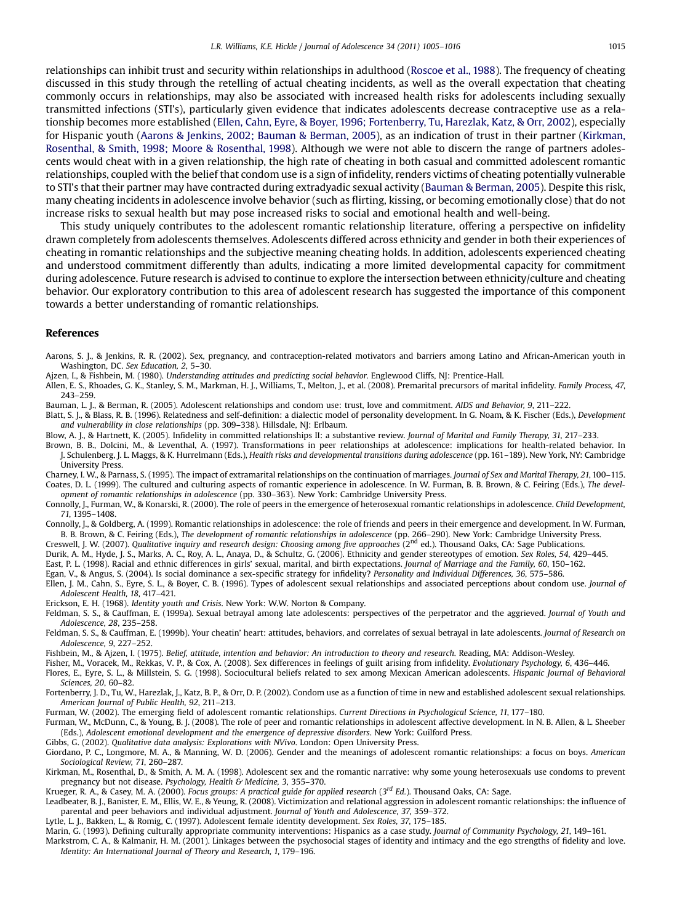<span id="page-10-0"></span>relationships can inhibit trust and security within relationships in adulthood [\(Roscoe et al., 1988\)](#page-11-0). The frequency of cheating discussed in this study through the retelling of actual cheating incidents, as well as the overall expectation that cheating commonly occurs in relationships, may also be associated with increased health risks for adolescents including sexually transmitted infections (STI's), particularly given evidence that indicates adolescents decrease contraceptive use as a relationship becomes more established (Ellen, Cahn, Eyre, & Boyer, 1996; Fortenberry, Tu, Harezlak, Katz, & Orr, 2002), especially for Hispanic youth (Aarons & Jenkins, 2002; Bauman & Berman, 2005), as an indication of trust in their partner (Kirkman, Rosenthal, & Smith, 1998; Moore & Rosenthal, 1998). Although we were not able to discern the range of partners adolescents would cheat with in a given relationship, the high rate of cheating in both casual and committed adolescent romantic relationships, coupled with the belief that condom use is a sign of infidelity, renders victims of cheating potentially vulnerable to STI's that their partner may have contracted during extradyadic sexual activity (Bauman & Berman, 2005). Despite this risk, many cheating incidents in adolescence involve behavior (such as flirting, kissing, or becoming emotionally close) that do not increase risks to sexual health but may pose increased risks to social and emotional health and well-being.

This study uniquely contributes to the adolescent romantic relationship literature, offering a perspective on infidelity drawn completely from adolescents themselves. Adolescents differed across ethnicity and gender in both their experiences of cheating in romantic relationships and the subjective meaning cheating holds. In addition, adolescents experienced cheating and understood commitment differently than adults, indicating a more limited developmental capacity for commitment during adolescence. Future research is advised to continue to explore the intersection between ethnicity/culture and cheating behavior. Our exploratory contribution to this area of adolescent research has suggested the importance of this component towards a better understanding of romantic relationships.

#### References

Aarons, S. J., & Jenkins, R. R. (2002). Sex, pregnancy, and contraception-related motivators and barriers among Latino and African-American youth in Washington, DC. Sex Education, 2, 5–30.

Ajzen, I., & Fishbein, M. (1980). Understanding attitudes and predicting social behavior. Englewood Cliffs, NJ: Prentice-Hall.

Allen, E. S., Rhoades, G. K., Stanley, S. M., Markman, H. J., Williams, T., Melton, J., et al. (2008). Premarital precursors of marital infidelity. Family Process, 47, 243–259.

Bauman, L. J., & Berman, R. (2005). Adolescent relationships and condom use: trust, love and commitment. AIDS and Behavior, 9, 211–222.

Blatt, S. J., & Blass, R. B. (1996). Relatedness and self-definition: a dialectic model of personality development. In G. Noam, & K. Fischer (Eds.), Development and vulnerability in close relationships (pp. 309–338). Hillsdale, NJ: Erlbaum.

Blow, A. J., & Hartnett, K. (2005). Infidelity in committed relationships II: a substantive review. Journal of Marital and Family Therapy, 31, 217–233.

Brown, B. B., Dolcini, M., & Leventhal, A. (1997). Transformations in peer relationships at adolescence: implications for health-related behavior. In J. Schulenberg, J. L. Maggs, & K. Hurrelmann (Eds.), Health risks and developmental transitions during adolescence (pp. 161–189). New York, NY: Cambridge University Press.

Charney, I. W., & Parnass, S. (1995). The impact of extramarital relationships on the continuation of marriages. Journal of Sex and Marital Therapy, 21, 100–115. Coates, D. L. (1999). The cultured and culturing aspects of romantic experience in adolescence. In W. Furman, B. B. Brown, & C. Feiring (Eds.), The development of romantic relationships in adolescence (pp. 330–363). New York: Cambridge University Press.

Connolly, J., Furman, W., & Konarski, R. (2000). The role of peers in the emergence of heterosexual romantic relationships in adolescence. Child Development, 71, 1395–1408.

Connolly, J., & Goldberg, A. (1999). Romantic relationships in adolescence: the role of friends and peers in their emergence and development. In W. Furman,

B. B. Drown, & C. Feiring (Eds.), The development of romantic relationships in adolescence (pp. 266–290). New York: Cambridge University Press.<br>Creswell, J. W. (2007). Qualitative inquiry and research design: Choosing amon

Durik, A. M., Hyde, J. S., Marks, A. C., Roy, A. L., Anaya, D., & Schultz, G. (2006). Ethnicity and gender stereotypes of emotion. Sex Roles, 54, 429–445.

East, P. L. (1998). Racial and ethnic differences in girls' sexual, marital, and birth expectations. Journal of Marriage and the Family, 60, 150–162.

Egan, V., & Angus, S. (2004). Is social dominance a sex-specific strategy for infidelity? Personality and Individual Differences, 36, 575–586.

Ellen, J. M., Cahn, S., Eyre, S. L., & Boyer, C. B. (1996). Types of adolescent sexual relationships and associated perceptions about condom use. Journal of Adolescent Health, 18, 417–421.

Erickson, E. H. (1968). Identity youth and Crisis. New York: W.W. Norton & Company.

Feldman, S. S., & Cauffman, E. (1999a). Sexual betrayal among late adolescents: perspectives of the perpetrator and the aggrieved. Journal of Youth and Adolescence, 28, 235–258.

Feldman, S. S., & Cauffman, E. (1999b). Your cheatin' heart: attitudes, behaviors, and correlates of sexual betrayal in late adolescents. Journal of Research on Adolescence, 9, 227–252.

Fishbein, M., & Ajzen, I. (1975). Belief, attitude, intention and behavior: An introduction to theory and research. Reading, MA: Addison-Wesley.

Fisher, M., Voracek, M., Rekkas, V. P., & Cox, A. (2008). Sex differences in feelings of guilt arising from infidelity. Evolutionary Psychology, 6, 436–446.

Flores, E., Eyre, S. L., & Millstein, S. G. (1998). Sociocultural beliefs related to sex among Mexican American adolescents. Hispanic Journal of Behavioral Sciences, 20, 60–82.

Fortenberry, J. D., Tu, W., Harezlak, J., Katz, B. P., & Orr, D. P. (2002). Condom use as a function of time in new and established adolescent sexual relationships. American Journal of Public Health, 92, 211–213.

Furman, W. (2002). The emerging field of adolescent romantic relationships. Current Directions in Psychological Science, 11, 177–180.

Furman, W., McDunn, C., & Young, B. J. (2008). The role of peer and romantic relationships in adolescent affective development. In N. B. Allen, & L. Sheeber (Eds.), Adolescent emotional development and the emergence of depressive disorders. New York: Guilford Press.

Gibbs, G. (2002). Qualitative data analysis: Explorations with NVivo. London: Open University Press.

Giordano, P. C., Longmore, M. A., & Manning, W. D. (2006). Gender and the meanings of adolescent romantic relationships: a focus on boys. American Sociological Review, 71, 260–287.

Kirkman, M., Rosenthal, D., & Smith, A. M. A. (1998). Adolescent sex and the romantic narrative: why some young heterosexuals use condoms to prevent pregnancy but not disease. Psychology, Health & Medicine, 3, 355-370.

Krueger, R. A., & Casey, M. A. (2000). Focus groups: A practical guide for applied research (3<sup>rd</sup> Ed.). Thousand Oaks, CA: Sage.

Leadbeater, B. J., Banister, E. M., Ellis, W. E., & Yeung, R. (2008). Victimization and relational aggression in adolescent romantic relationships: the influence of parental and peer behaviors and individual adjustment. Journal of Youth and Adolescence, 37, 359–372.

Lytle, L. J., Bakken, L., & Romig, C. (1997). Adolescent female identity development. Sex Roles, 37, 175–185.

Marin, G. (1993). Defining culturally appropriate community interventions: Hispanics as a case study. Journal of Community Psychology, 21, 149–161.

Markstrom, C. A., & Kalmanir, H. M. (2001). Linkages between the psychosocial stages of identity and intimacy and the ego strengths of fidelity and love. Identity: An International Journal of Theory and Research, 1, 179–196.